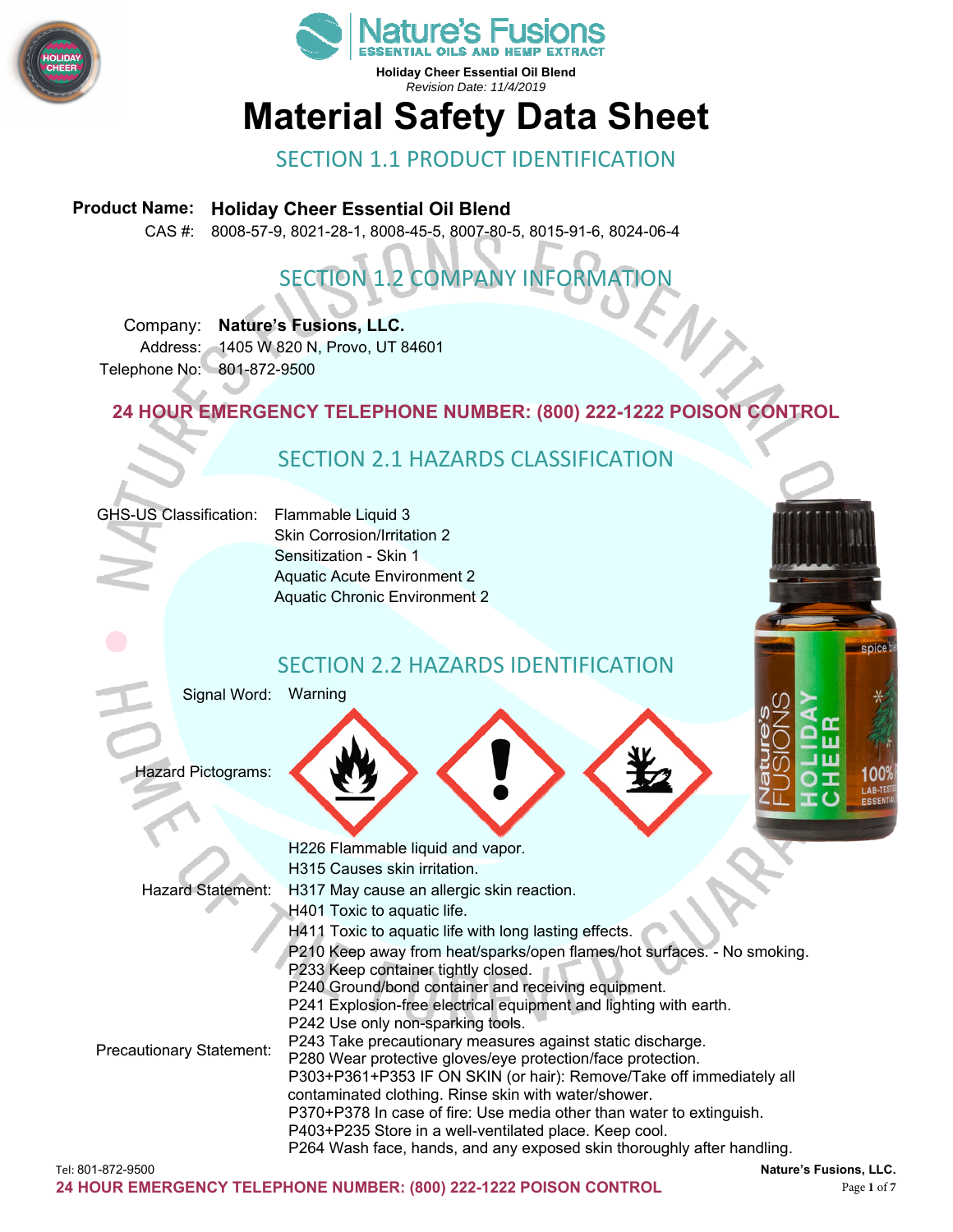



## **Material Safety Data Sheet**

#### SECTION 1.1 PRODUCT IDENTIFICATION

#### **Product Name: Holiday Cheer Essential Oil Blend**

CAS #: 8008-57-9, 8021-28-1, 8008-45-5, 8007-80-5, 8015-91-6, 8024-06-4

## SECTION 1.2 COMPANY INFORMATION

Company: **Nature's Fusions, LLC.**  Address: 1405 W 820 N, Provo, UT 84601 Telephone No: 801-872-9500

**24 HOUR EMERGENCY TELEPHONE NUMBER: (800) 222-1222 POISON CONTROL** 

#### SECTION 2.1 HAZARDS CLASSIFICATION



Skin Corrosion/Irritation 2 Sensitization - Skin 1 Aquatic Acute Environment 2 Aquatic Chronic Environment 2

#### SECTION 2.2 HAZARDS IDENTIFICATION

Signal Word: Warning

Hazard Pictograms:



spice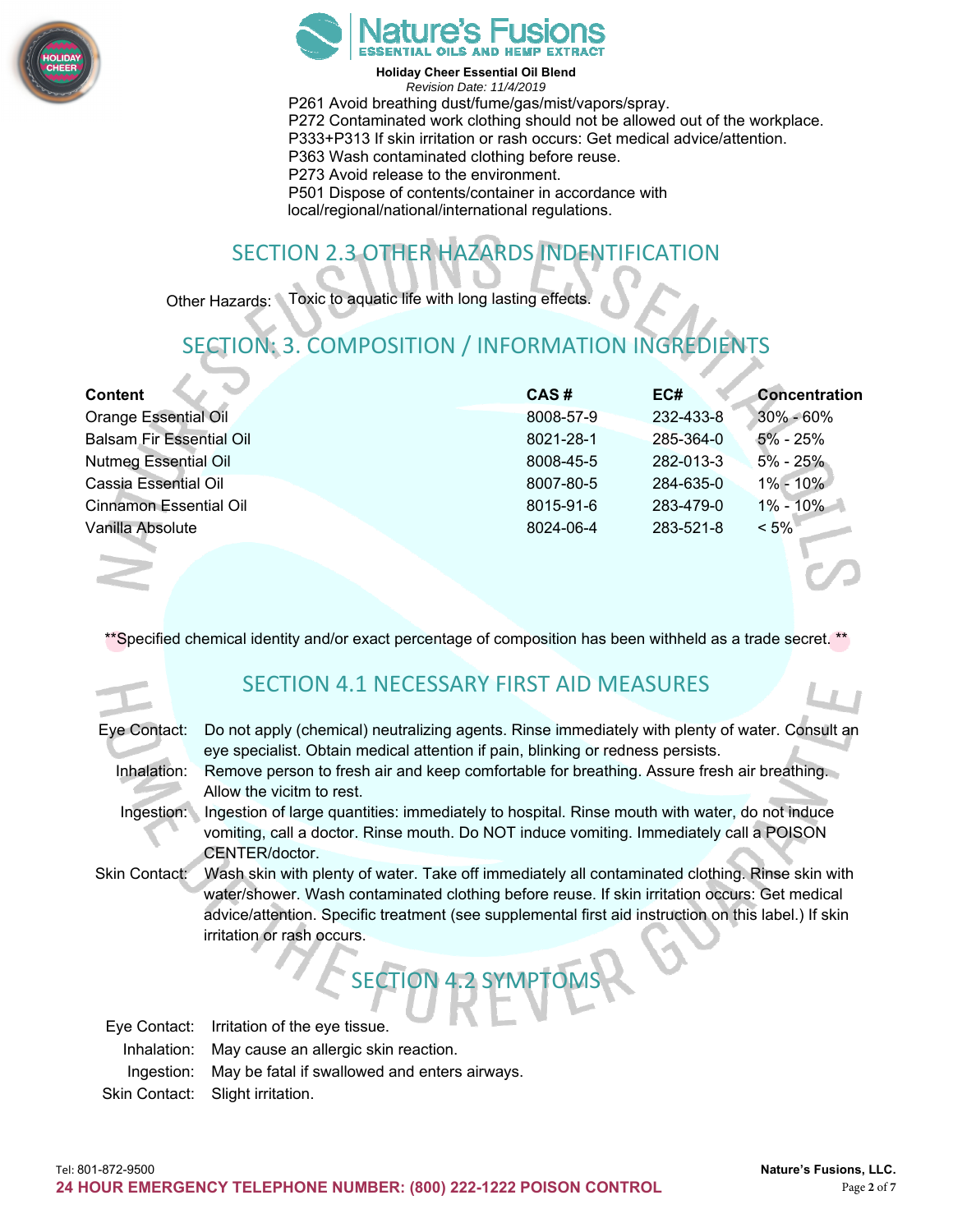



**Holiday Cheer Essential Oil Blend**  *Revision Date: 11/4/2019*  P261 Avoid breathing dust/fume/gas/mist/vapors/spray. P272 Contaminated work clothing should not be allowed out of the workplace. P333+P313 If skin irritation or rash occurs: Get medical advice/attention. P363 Wash contaminated clothing before reuse. P273 Avoid release to the environment. P501 Dispose of contents/container in accordance with local/regional/national/international regulations.

## SECTION 2.3 OTHER HAZARDS INDENTIFICATION

Other Hazards: Toxic to aquatic life with long lasting effects.

## SECTION: 3. COMPOSITION / INFORMATION INGREDIENTS

| <b>Content</b>                  | CAS#      | EC#       | <b>Concentration</b> |
|---------------------------------|-----------|-----------|----------------------|
| <b>Orange Essential Oil</b>     | 8008-57-9 | 232-433-8 | $30\% - 60\%$        |
| <b>Balsam Fir Essential Oil</b> | 8021-28-1 | 285-364-0 | $5\%$ - 25%          |
| <b>Nutmeg Essential Oil</b>     | 8008-45-5 | 282-013-3 | $5\% - 25\%$         |
| Cassia Essential Oil            | 8007-80-5 | 284-635-0 | $1\% - 10\%$         |
| <b>Cinnamon Essential Oil</b>   | 8015-91-6 | 283-479-0 | $1\% - 10\%$         |
| Vanilla Absolute                | 8024-06-4 | 283-521-8 | $< 5\%$              |
|                                 |           |           |                      |
|                                 |           |           |                      |

\*\*Specified chemical identity and/or exact percentage of composition has been withheld as a trade secret. \*

#### SECTION 4.1 NECESSARY FIRST AID MEASURES

| Eye Contact:  | Do not apply (chemical) neutralizing agents. Rinse immediately with plenty of water. Consult an<br>eye specialist. Obtain medical attention if pain, blinking or redness persists.                                                                                                                                                     |  |
|---------------|----------------------------------------------------------------------------------------------------------------------------------------------------------------------------------------------------------------------------------------------------------------------------------------------------------------------------------------|--|
| Inhalation:   | Remove person to fresh air and keep comfortable for breathing. Assure fresh air breathing.<br>Allow the vicitm to rest.                                                                                                                                                                                                                |  |
| Ingestion:    | Ingestion of large quantities: immediately to hospital. Rinse mouth with water, do not induce<br>vomiting, call a doctor. Rinse mouth. Do NOT induce vomiting. Immediately call a POISON<br>CENTER/doctor.                                                                                                                             |  |
| Skin Contact: | Wash skin with plenty of water. Take off immediately all contaminated clothing. Rinse skin with<br>water/shower. Wash contaminated clothing before reuse. If skin irritation occurs: Get medical<br>advice/attention. Specific treatment (see supplemental first aid instruction on this label.) If skin<br>irritation or rash occurs. |  |

## SECTION 4.2 SYMPTOMS

Eye Contact: Irritation of the eye tissue. Inhalation: May cause an allergic skin reaction. Ingestion: May be fatal if swallowed and enters airways. Skin Contact: Slight irritation.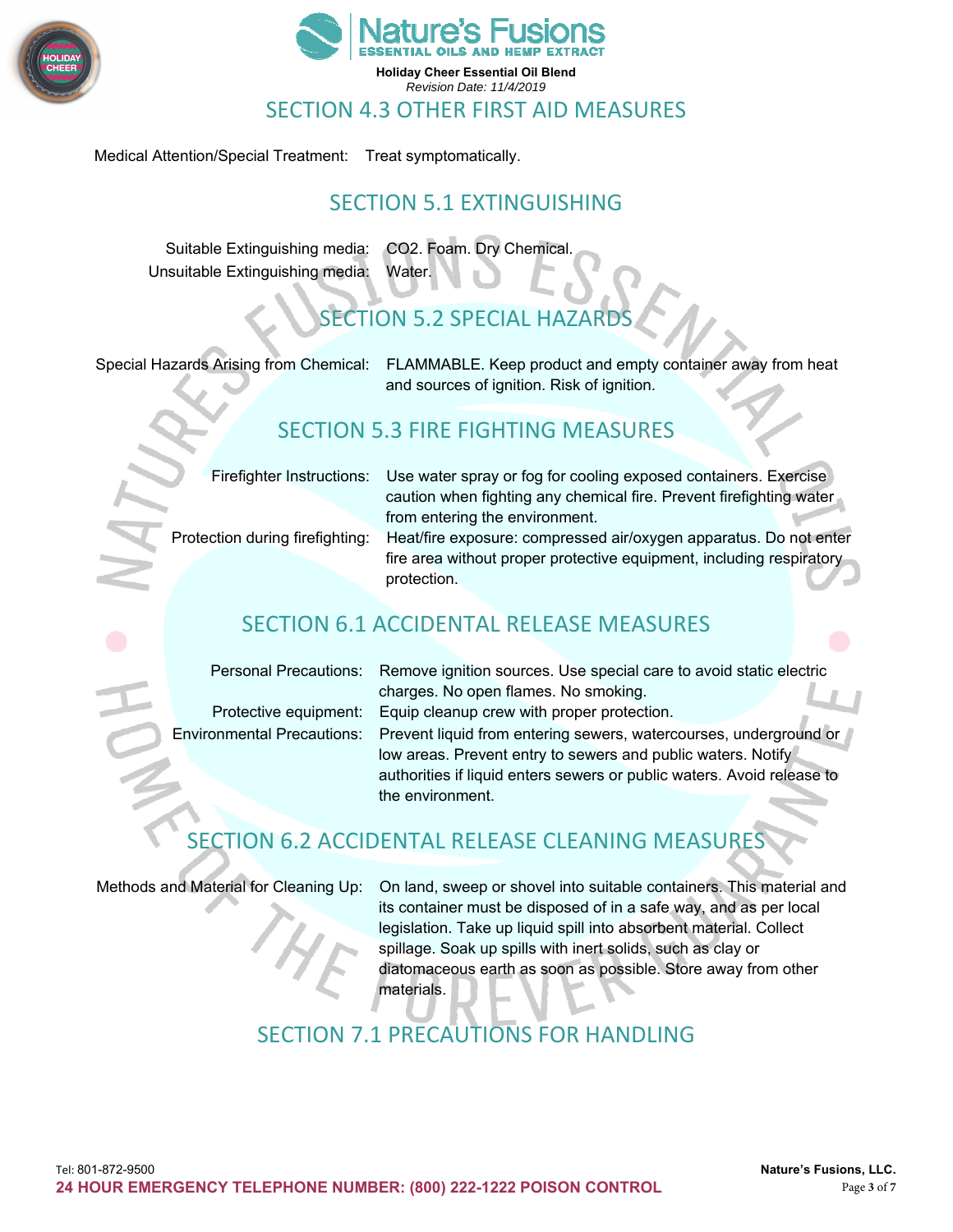



Medical Attention/Special Treatment: Treat symptomatically.

#### SECTION 5.1 EXTINGUISHING

Suitable Extinguishing media: CO2. Foam. Dry Chemical. Unsuitable Extinguishing media: Water.

#### FCTION 5.2 SPECIAL HAZARD

Special Hazards Arising from Chemical: FLAMMABLE. Keep product and empty container away from heat and sources of ignition. Risk of ignition.

#### SECTION 5.3 FIRE FIGHTING MEASURES

Firefighter Instructions: Use water spray or fog for cooling exposed containers. Exercise caution when fighting any chemical fire. Prevent firefighting water from entering the environment.

Protection during firefighting: Heat/fire exposure: compressed air/oxygen apparatus. Do not enter fire area without proper protective equipment, including respiratory protection.

#### SECTION 6.1 ACCIDENTAL RELEASE MEASURES

| <b>Personal Precautions:</b>                                                                                         |
|----------------------------------------------------------------------------------------------------------------------|
| <b>Provident and the contract of the second contract of the second contract of the second contract of the second</b> |

Remove ignition sources. Use special care to avoid static electric charges. No open flames. No smoking. Protective equipment: Equip cleanup crew with proper protection. Environmental Precautions: Prevent liquid from entering sewers, watercourses, underground or

low areas. Prevent entry to sewers and public waters. Notify authorities if liquid enters sewers or public waters. Avoid release to the environment.

#### SECTION 6.2 ACCIDENTAL RELEASE CLEANING MEASURES

Methods and Material for Cleaning Up: On land, sweep or shovel into suitable containers. This material and its container must be disposed of in a safe way, and as per local legislation. Take up liquid spill into absorbent material. Collect spillage. Soak up spills with inert solids, such as clay or diatomaceous earth as soon as possible. Store away from other materials.

#### SECTION 7.1 PRECAUTIONS FOR HANDLING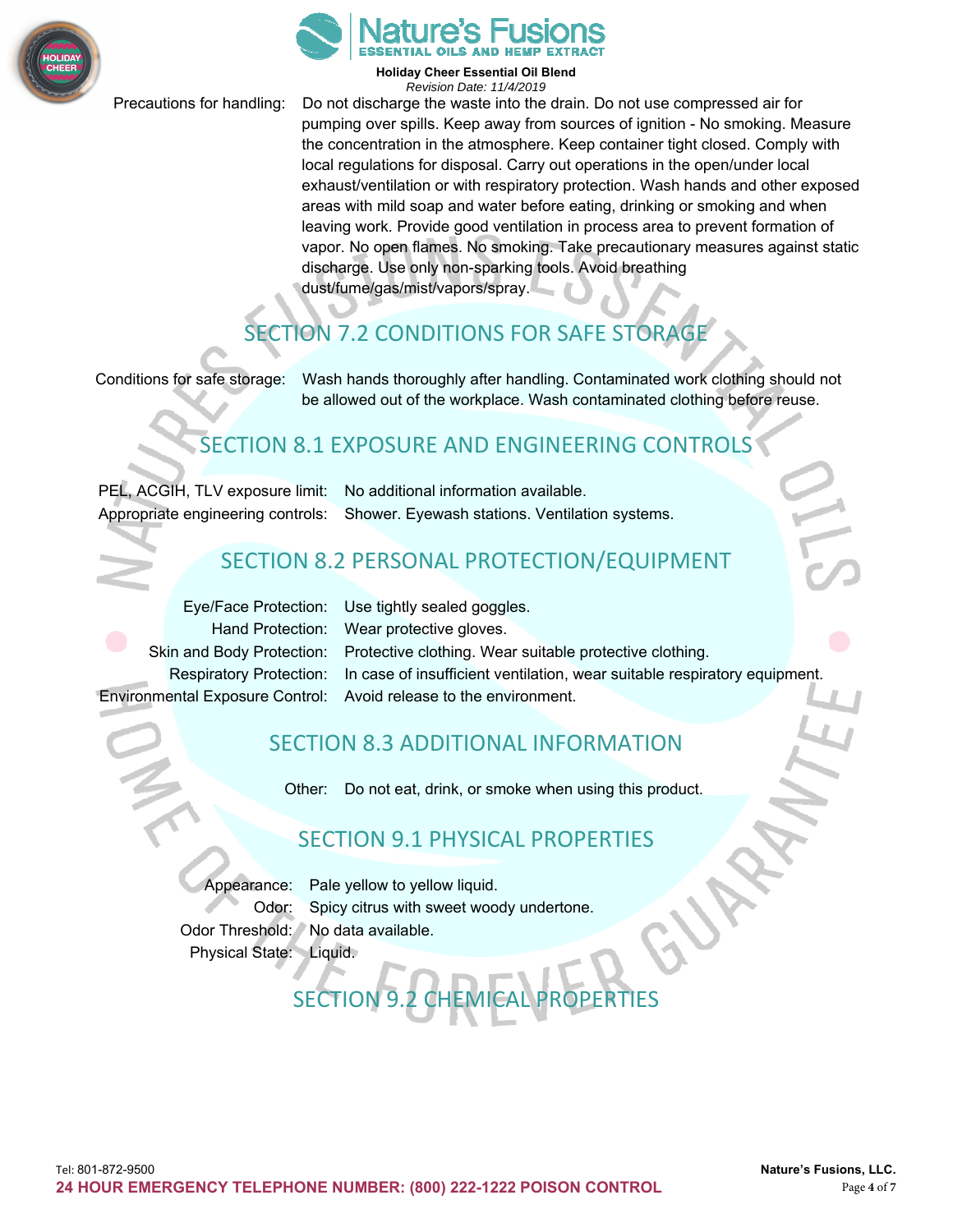



Precautions for handling: Do not discharge the waste into the drain. Do not use compressed air for pumping over spills. Keep away from sources of ignition - No smoking. Measure the concentration in the atmosphere. Keep container tight closed. Comply with local regulations for disposal. Carry out operations in the open/under local exhaust/ventilation or with respiratory protection. Wash hands and other exposed areas with mild soap and water before eating, drinking or smoking and when leaving work. Provide good ventilation in process area to prevent formation of vapor. No open flames. No smoking. Take precautionary measures against static discharge. Use only non-sparking tools. Avoid breathing dust/fume/gas/mist/vapors/spray.

## SECTION 7.2 CONDITIONS FOR SAFE STORAGE

Conditions for safe storage: Wash hands thoroughly after handling. Contaminated work clothing should not be allowed out of the workplace. Wash contaminated clothing before reuse.

#### SECTION 8.1 EXPOSURE AND ENGINEERING CONTROLS

PEL, ACGIH, TLV exposure limit: No additional information available.

Appropriate engineering controls: Shower. Eyewash stations. Ventilation systems.

#### SECTION 8.2 PERSONAL PROTECTION/EQUIPMENT

Eye/Face Protection: Use tightly sealed goggles. Environmental Exposure Control: Avoid release to the environment.

Hand Protection: Wear protective gloves. Skin and Body Protection: Protective clothing. Wear suitable protective clothing. Respiratory Protection: In case of insufficient ventilation, wear suitable respiratory equipment.

#### SECTION 8.3 ADDITIONAL INFORMATION

Other: Do not eat, drink, or smoke when using this product.

#### SECTION 9.1 PHYSICAL PROPERTIES

SECTION 9.2 CHEMICAL PROPERTIES

Appearance: Pale yellow to yellow liquid. Odor: Spicy citrus with sweet woody undertone. Odor Threshold: No data available. Physical State: Liquid.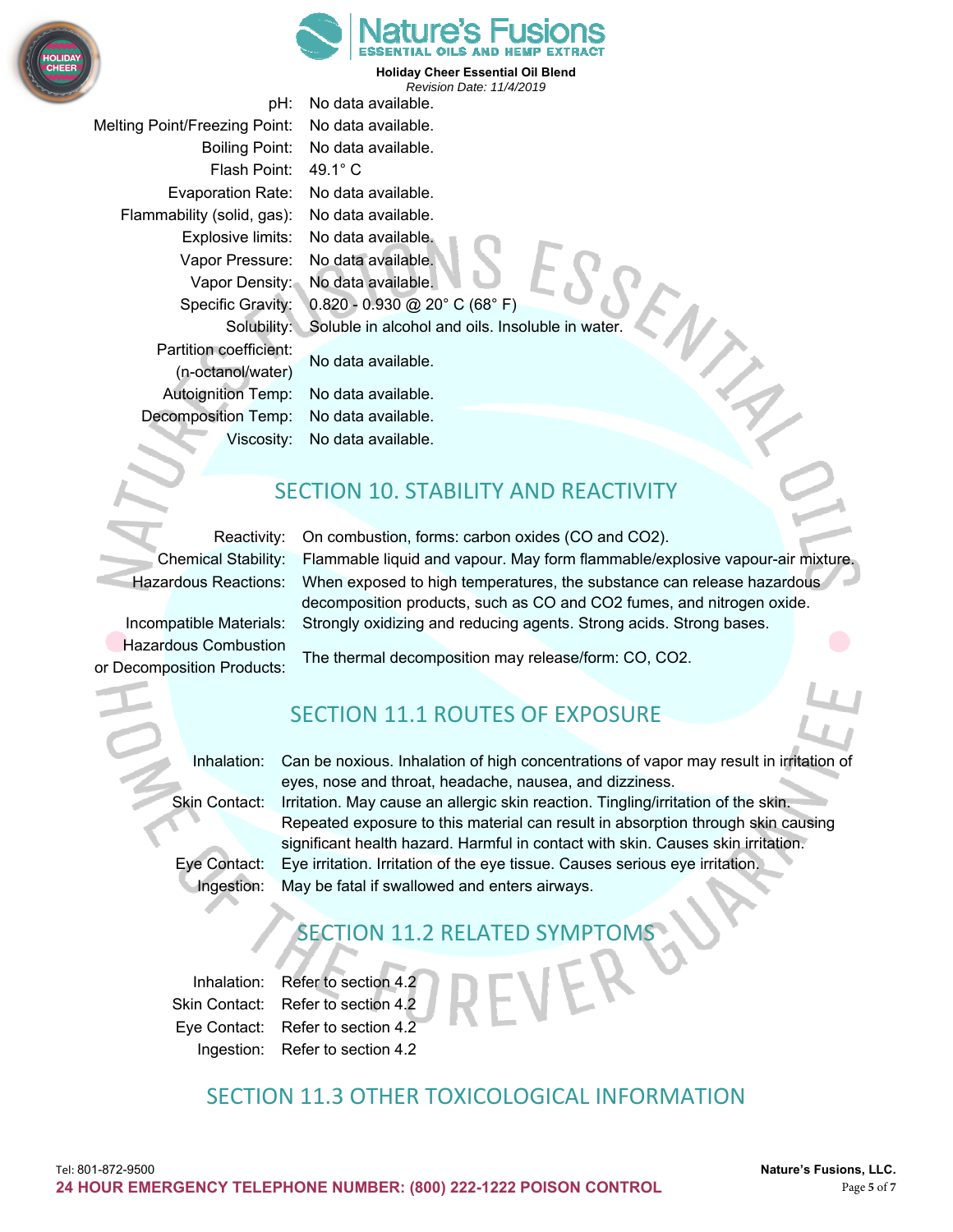



pH: No data available. Melting Point/Freezing Point: No data available. Boiling Point: No data available. Flash Point: 49.1° C Evaporation Rate: No data available. Flammability (solid, gas): No data available. Explosive limits: No data available. Vapor Pressure: No data available. Vapor Density: No data available. Specific Gravity: 0.820 - 0.930 @ 20° C (68° F) Solubility: Soluble in alcohol and oils. Insoluble in water. Partition coefficient: No data available. (n-octanol/water) Autoignition Temp: No data available. Decomposition Temp: No data available. Viscosity: No data available.

#### SECTION 10. STABILITY AND REACTIVITY

Hazardous Combustion

Reactivity: On combustion, forms: carbon oxides (CO and CO2). Chemical Stability: Flammable liquid and vapour. May form flammable/explosive vapour-air mixture. Hazardous Reactions: When exposed to high temperatures, the substance can release hazardous decomposition products, such as CO and CO2 fumes, and nitrogen oxide. Incompatible Materials: Strongly oxidizing and reducing agents. Strong acids. Strong bases.

The thermal decomposition may release/form: CO, CO2. or Decomposition Products:

#### SECTION 11.1 ROUTES OF EXPOSURE

Inhalation: Can be noxious. Inhalation of high concentrations of vapor may result in irritation of eyes, nose and throat, headache, nausea, and dizziness. Skin Contact: Irritation. May cause an allergic skin reaction. Tingling/irritation of the skin. Repeated exposure to this material can result in absorption through skin causing significant health hazard. Harmful in contact with skin. Causes skin irritation. Eye Contact: Eye irritation. Irritation of the eye tissue. Causes serious eye irritation. Ingestion: May be fatal if swallowed and enters airways.

#### SECTION 11.2 RELATED SYMPTOMS

Inhalation: Refer to section 4.2 Skin Contact: Refer to section 4.2 Eye Contact: Refer to section 4.2 Ingestion: Refer to section 4.2

#### SECTION 11.3 OTHER TOXICOLOGICAL INFORMATION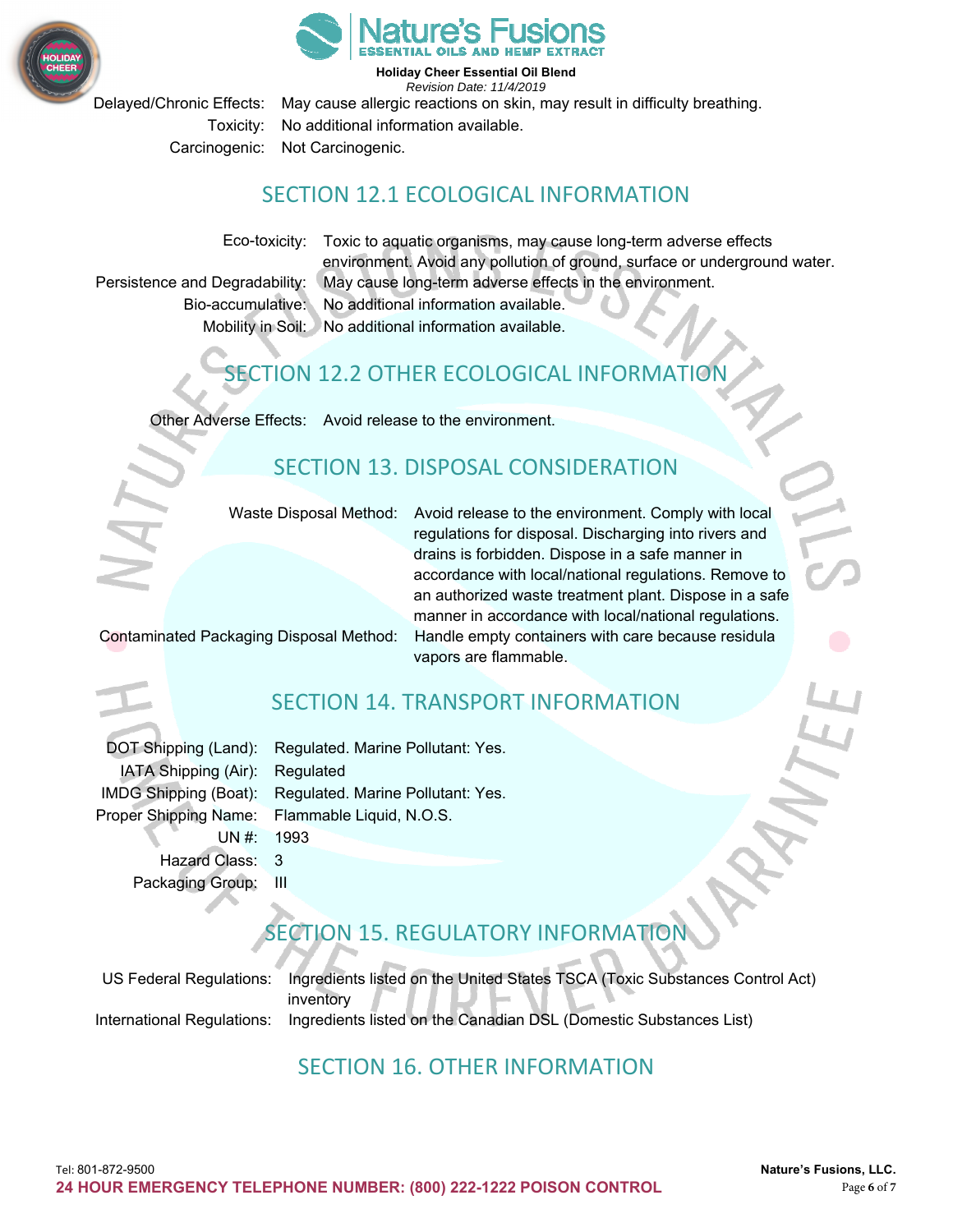



Delayed/Chronic Effects: May cause allergic reactions on skin, may result in difficulty breathing. Toxicity: No additional information available. Carcinogenic: Not Carcinogenic.

#### SECTION 12.1 ECOLOGICAL INFORMATION

Eco-toxicity: Toxic to aquatic organisms, may cause long-term adverse effects environment. Avoid any pollution of ground, surface or underground water. Persistence and Degradability: May cause long-term adverse effects in the environment. Bio-accumulative: No additional information available. Mobility in Soil: No additional information available.

## SECTION 12.2 OTHER ECOLOGICAL INFORMATION

Other Adverse Effects: Avoid release to the environment.

#### SECTION 13. DISPOSAL CONSIDERATION

Waste Disposal Method: Avoid release to the environment. Comply with local regulations for disposal. Discharging into rivers and drains is forbidden. Dispose in a safe manner in accordance with local/national regulations. Remove to an authorized waste treatment plant. Dispose in a safe manner in accordance with local/national regulations. Contaminated Packaging Disposal Method: Handle empty containers with care because residula vapors are flammable.

#### SECTION 14. TRANSPORT INFORMATION

|                                | DOT Shipping (Land): Regulated. Marine Pollutant: Yes.  |
|--------------------------------|---------------------------------------------------------|
| IATA Shipping (Air): Regulated |                                                         |
|                                | IMDG Shipping (Boat): Regulated. Marine Pollutant: Yes. |
|                                | Proper Shipping Name: Flammable Liquid, N.O.S.          |
| UN #: 1993                     |                                                         |
| Hazard Class: 3                |                                                         |
| Packaging Group: III           |                                                         |

## **ECTION 15. REGULATORY INFORMATION**

US Federal Regulations: Ingredients listed on the United States TSCA (Toxic Substances Control Act) inventory International Regulations: Ingredients listed on the Canadian DSL (Domestic Substances List)

#### SECTION 16. OTHER INFORMATION